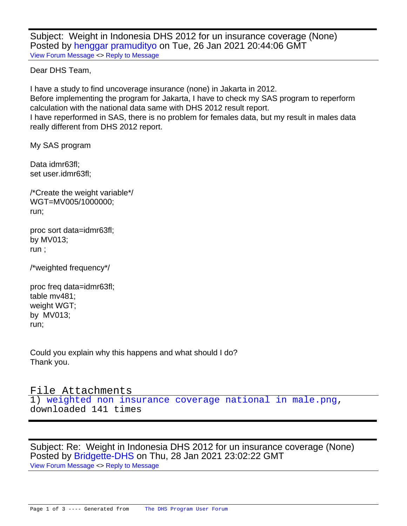Subject: Weight in Indonesia DHS 2012 for un insurance coverage (None) Posted by [henggar pramudityo](https://userforum.dhsprogram.com/index.php?t=usrinfo&id=12250) on Tue, 26 Jan 2021 20:44:06 GMT [View Forum Message](https://userforum.dhsprogram.com/index.php?t=rview&th=10718&goto=22068#msg_22068) <> [Reply to Message](https://userforum.dhsprogram.com/index.php?t=post&reply_to=22068)

Dear DHS Team,

I have a study to find uncoverage insurance (none) in Jakarta in 2012. Before implementing the program for Jakarta, I have to check my SAS program to reperform calculation with the national data same with DHS 2012 result report. I have reperformed in SAS, there is no problem for females data, but my result in males data really different from DHS 2012 report.

My SAS program

Data idmr63fl; set user.idmr63fl;

/\*Create the weight variable\*/ WGT=MV005/1000000; run;

proc sort data=idmr63fl; by MV013; run ;

/\*weighted frequency\*/

proc freq data=idmr63fl; table mv481; weight WGT; by MV013; run;

Could you explain why this happens and what should I do? Thank you.

File Attachments 1) [weighted non insurance coverage national in male.png](https://userforum.dhsprogram.com/index.php?t=getfile&id=1666), downloaded 141 times

Subject: Re: Weight in Indonesia DHS 2012 for un insurance coverage (None) Posted by [Bridgette-DHS](https://userforum.dhsprogram.com/index.php?t=usrinfo&id=11) on Thu, 28 Jan 2021 23:02:22 GMT [View Forum Message](https://userforum.dhsprogram.com/index.php?t=rview&th=10718&goto=22077#msg_22077) <> [Reply to Message](https://userforum.dhsprogram.com/index.php?t=post&reply_to=22077)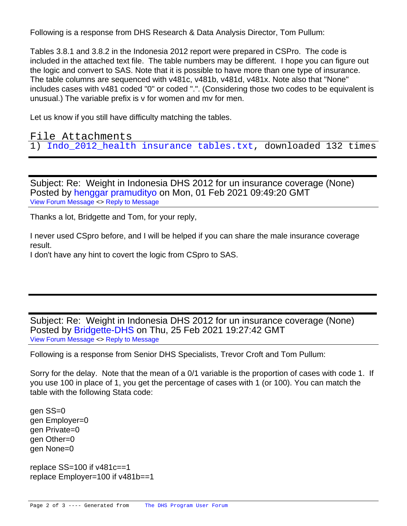Following is a response from DHS Research & Data Analysis Director, Tom Pullum:

Tables 3.8.1 and 3.8.2 in the Indonesia 2012 report were prepared in CSPro. The code is included in the attached text file. The table numbers may be different. I hope you can figure out the logic and convert to SAS. Note that it is possible to have more than one type of insurance. The table columns are sequenced with v481c, v481b, v481d, v481x. Note also that "None" includes cases with v481 coded "0" or coded ".". (Considering those two codes to be equivalent is unusual.) The variable prefix is v for women and mv for men.

Let us know if you still have difficulty matching the tables.

File Attachments 1) Indo 2012 health insurance tables.txt, downloaded 132 times

Subject: Re: Weight in Indonesia DHS 2012 for un insurance coverage (None) Posted by [henggar pramudityo](https://userforum.dhsprogram.com/index.php?t=usrinfo&id=12250) on Mon, 01 Feb 2021 09:49:20 GMT [View Forum Message](https://userforum.dhsprogram.com/index.php?t=rview&th=10718&goto=22100#msg_22100) <> [Reply to Message](https://userforum.dhsprogram.com/index.php?t=post&reply_to=22100)

Thanks a lot, Bridgette and Tom, for your reply,

I never used CSpro before, and I will be helped if you can share the male insurance coverage result.

I don't have any hint to covert the logic from CSpro to SAS.

Subject: Re: Weight in Indonesia DHS 2012 for un insurance coverage (None) Posted by [Bridgette-DHS](https://userforum.dhsprogram.com/index.php?t=usrinfo&id=11) on Thu, 25 Feb 2021 19:27:42 GMT [View Forum Message](https://userforum.dhsprogram.com/index.php?t=rview&th=10718&goto=22315#msg_22315) <> [Reply to Message](https://userforum.dhsprogram.com/index.php?t=post&reply_to=22315)

Following is a response from Senior DHS Specialists, Trevor Croft and Tom Pullum:

Sorry for the delay. Note that the mean of a 0/1 variable is the proportion of cases with code 1. If you use 100 in place of 1, you get the percentage of cases with 1 (or 100). You can match the table with the following Stata code:

gen SS=0 gen Employer=0 gen Private=0 gen Other=0 gen None=0

replace SS=100 if v481c==1 replace Employer=100 if v481b==1